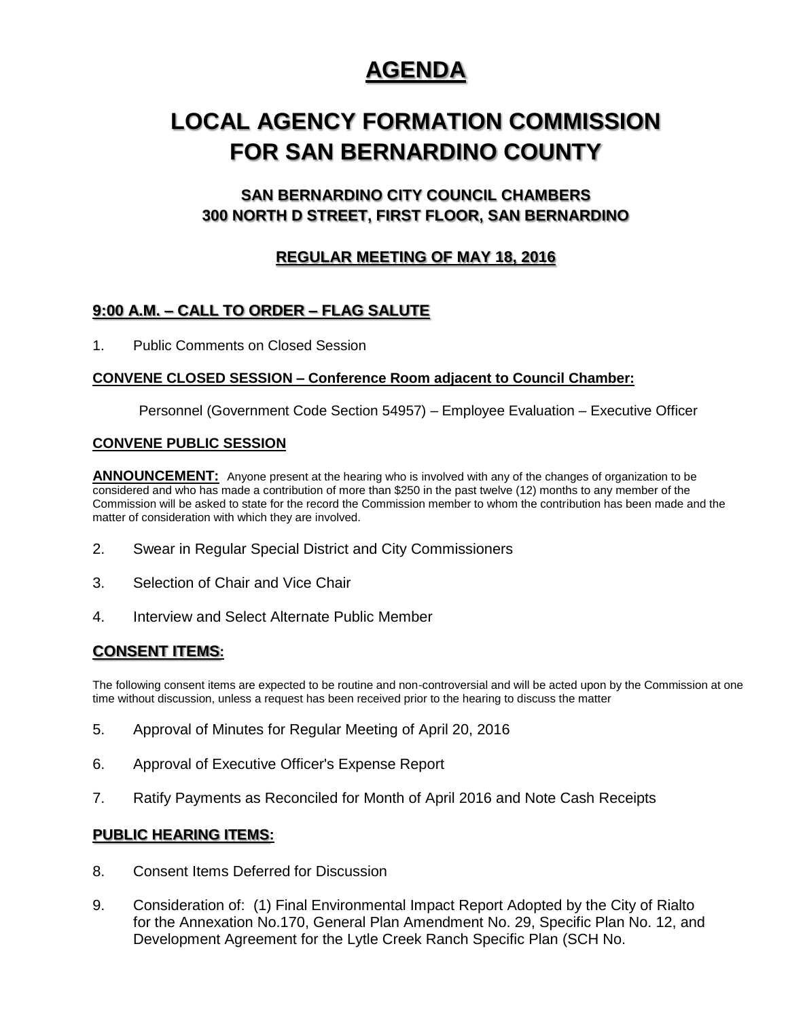## **AGENDA**

# **LOCAL AGENCY FORMATION COMMISSION FOR SAN BERNARDINO COUNTY**

## **SAN BERNARDINO CITY COUNCIL CHAMBERS 300 NORTH D STREET, FIRST FLOOR, SAN BERNARDINO**

## **REGULAR MEETING OF MAY 18, 2016**

## **9:00 A.M. – CALL TO ORDER – FLAG SALUTE**

1. Public Comments on Closed Session

#### **CONVENE CLOSED SESSION – Conference Room adjacent to Council Chamber:**

Personnel (Government Code Section 54957) – Employee Evaluation – Executive Officer

#### **CONVENE PUBLIC SESSION**

**ANNOUNCEMENT:** Anyone present at the hearing who is involved with any of the changes of organization to be considered and who has made a contribution of more than \$250 in the past twelve (12) months to any member of the Commission will be asked to state for the record the Commission member to whom the contribution has been made and the matter of consideration with which they are involved.

- 2. Swear in Regular Special District and City Commissioners
- 3. Selection of Chair and Vice Chair
- 4. Interview and Select Alternate Public Member

### **CONSENT ITEMS:**

The following consent items are expected to be routine and non-controversial and will be acted upon by the Commission at one time without discussion, unless a request has been received prior to the hearing to discuss the matter

- 5. Approval of Minutes for Regular Meeting of April 20, 2016
- 6. Approval of Executive Officer's Expense Report
- 7. Ratify Payments as Reconciled for Month of April 2016 and Note Cash Receipts

#### **PUBLIC HEARING ITEMS:**

- 8. Consent Items Deferred for Discussion
- 9. Consideration of: (1) Final Environmental Impact Report Adopted by the City of Rialto for the Annexation No.170, General Plan Amendment No. 29, Specific Plan No. 12, and Development Agreement for the Lytle Creek Ranch Specific Plan (SCH No.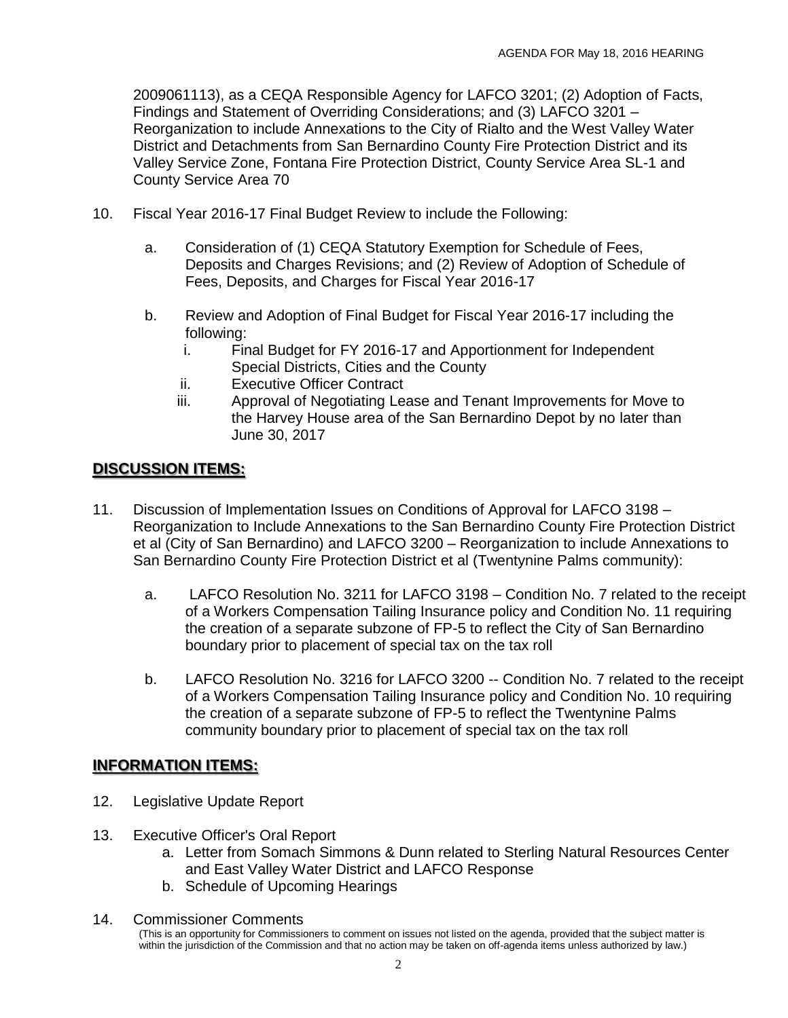2009061113), as a CEQA Responsible Agency for LAFCO 3201; (2) Adoption of Facts, Findings and Statement of Overriding Considerations; and (3) LAFCO 3201 – Reorganization to include Annexations to the City of Rialto and the West Valley Water District and Detachments from San Bernardino County Fire Protection District and its Valley Service Zone, Fontana Fire Protection District, County Service Area SL-1 and County Service Area 70

- 10. Fiscal Year 2016-17 Final Budget Review to include the Following:
	- a. Consideration of (1) CEQA Statutory Exemption for Schedule of Fees, Deposits and Charges Revisions; and (2) Review of Adoption of Schedule of Fees, Deposits, and Charges for Fiscal Year 2016-17
	- b. Review and Adoption of Final Budget for Fiscal Year 2016-17 including the following:
		- i. Final Budget for FY 2016-17 and Apportionment for Independent Special Districts, Cities and the County
		- ii. Executive Officer Contract
		- iii. Approval of Negotiating Lease and Tenant Improvements for Move to the Harvey House area of the San Bernardino Depot by no later than June 30, 2017

## **DISCUSSION ITEMS:**

- 11. Discussion of Implementation Issues on Conditions of Approval for LAFCO 3198 Reorganization to Include Annexations to the San Bernardino County Fire Protection District et al (City of San Bernardino) and LAFCO 3200 – Reorganization to include Annexations to San Bernardino County Fire Protection District et al (Twentynine Palms community):
	- a. LAFCO Resolution No. 3211 for LAFCO 3198 Condition No. 7 related to the receipt of a Workers Compensation Tailing Insurance policy and Condition No. 11 requiring the creation of a separate subzone of FP-5 to reflect the City of San Bernardino boundary prior to placement of special tax on the tax roll
	- b. LAFCO Resolution No. 3216 for LAFCO 3200 -- Condition No. 7 related to the receipt of a Workers Compensation Tailing Insurance policy and Condition No. 10 requiring the creation of a separate subzone of FP-5 to reflect the Twentynine Palms community boundary prior to placement of special tax on the tax roll

### **INFORMATION ITEMS:**

- 12. Legislative Update Report
- 13. Executive Officer's Oral Report
	- a. Letter from Somach Simmons & Dunn related to Sterling Natural Resources Center and East Valley Water District and LAFCO Response
	- b. Schedule of Upcoming Hearings
- 14. Commissioner Comments

<sup>(</sup>This is an opportunity for Commissioners to comment on issues not listed on the agenda, provided that the subject matter is within the jurisdiction of the Commission and that no action may be taken on off-agenda items unless authorized by law.)